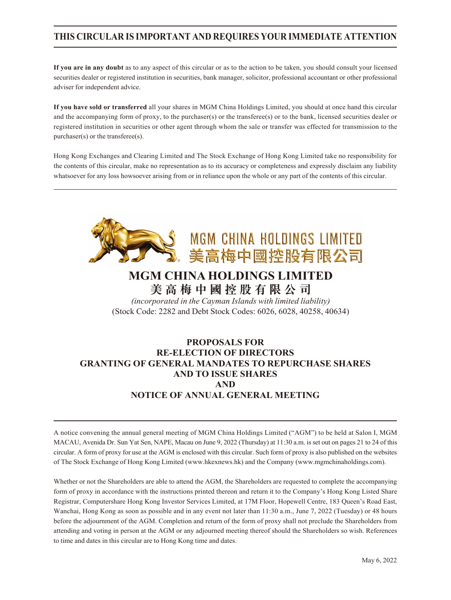## **THIS CIRCULAR IS IMPORTANT AND REQUIRES YOUR IMMEDIATE ATTENTION**

**If you are in any doubt** as to any aspect of this circular or as to the action to be taken, you should consult your licensed securities dealer or registered institution in securities, bank manager, solicitor, professional accountant or other professional adviser for independent advice.

**If you have sold or transferred** all your shares in MGM China Holdings Limited, you should at once hand this circular and the accompanying form of proxy, to the purchaser(s) or the transferee(s) or to the bank, licensed securities dealer or registered institution in securities or other agent through whom the sale or transfer was effected for transmission to the purchaser(s) or the transferee(s).

Hong Kong Exchanges and Clearing Limited and The Stock Exchange of Hong Kong Limited take no responsibility for the contents of this circular, make no representation as to its accuracy or completeness and expressly disclaim any liability whatsoever for any loss howsoever arising from or in reliance upon the whole or any part of the contents of this circular.



## **MGM CHINA HOLDINGS LIMITED 美高梅中國控股有限公司**

*(incorporated in the Cayman Islands with limited liability)* (Stock Code: 2282 and Debt Stock Codes: 6026, 6028, 40258, 40634)

## **PROPOSALS FOR RE-ELECTION OF DIRECTORS GRANTING OF GENERAL MANDATES TO REPURCHASE SHARES AND TO ISSUE SHARES AND NOTICE OF ANNUAL GENERAL MEETING**

A notice convening the annual general meeting of MGM China Holdings Limited ("AGM") to be held at Salon I, MGM MACAU, Avenida Dr. Sun Yat Sen, NAPE, Macau on June 9, 2022 (Thursday) at 11:30 a.m. is set out on pages 21 to 24 of this circular. A form of proxy for use at the AGM is enclosed with this circular. Such form of proxy is also published on the websites of The Stock Exchange of Hong Kong Limited (www.hkexnews.hk) and the Company (www.mgmchinaholdings.com).

Whether or not the Shareholders are able to attend the AGM, the Shareholders are requested to complete the accompanying form of proxy in accordance with the instructions printed thereon and return it to the Company's Hong Kong Listed Share Registrar, Computershare Hong Kong Investor Services Limited, at 17M Floor, Hopewell Centre, 183 Queen's Road East, Wanchai, Hong Kong as soon as possible and in any event not later than 11:30 a.m., June 7, 2022 (Tuesday) or 48 hours before the adjournment of the AGM. Completion and return of the form of proxy shall not preclude the Shareholders from attending and voting in person at the AGM or any adjourned meeting thereof should the Shareholders so wish. References to time and dates in this circular are to Hong Kong time and dates.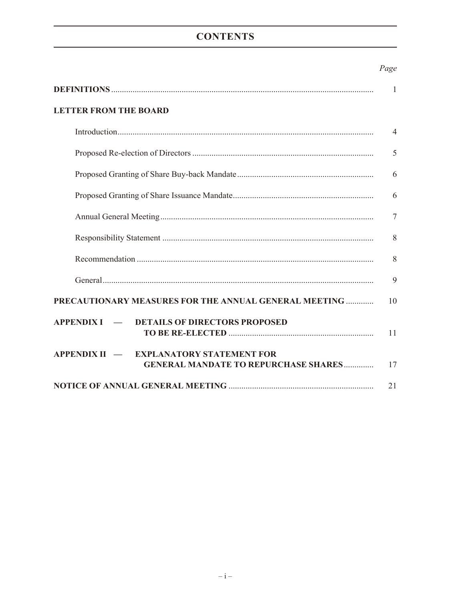# **CONTENTS**

## Page

|                                                                                                    | 1              |
|----------------------------------------------------------------------------------------------------|----------------|
| <b>LETTER FROM THE BOARD</b>                                                                       |                |
|                                                                                                    | $\overline{4}$ |
|                                                                                                    | 5              |
|                                                                                                    | 6              |
|                                                                                                    | 6              |
|                                                                                                    | $\overline{7}$ |
|                                                                                                    | 8              |
|                                                                                                    | 8              |
|                                                                                                    | 9              |
| PRECAUTIONARY MEASURES FOR THE ANNUAL GENERAL MEETING                                              | 10             |
| APPENDIX I — DETAILS OF DIRECTORS PROPOSED                                                         | 11             |
| $APPENDIX II$ —<br><b>EXPLANATORY STATEMENT FOR</b><br><b>GENERAL MANDATE TO REPURCHASE SHARES</b> | 17             |
|                                                                                                    | 21             |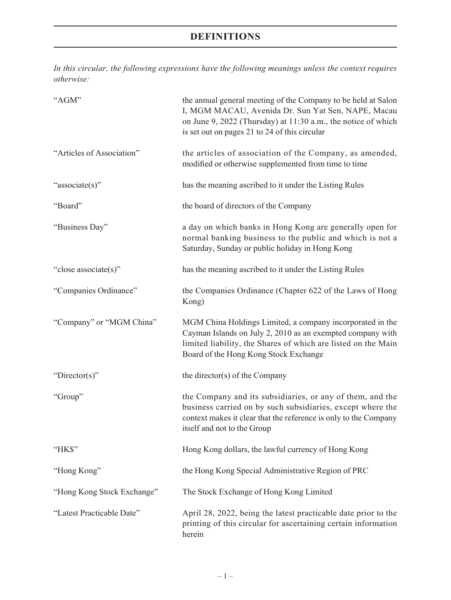# **DEFINITIONS**

*In this circular, the following expressions have the following meanings unless the context requires otherwise:*

| "AGM"                      | the annual general meeting of the Company to be held at Salon<br>I, MGM MACAU, Avenida Dr. Sun Yat Sen, NAPE, Macau<br>on June 9, 2022 (Thursday) at 11:30 a.m., the notice of which<br>is set out on pages 21 to 24 of this circular |
|----------------------------|---------------------------------------------------------------------------------------------------------------------------------------------------------------------------------------------------------------------------------------|
| "Articles of Association"  | the articles of association of the Company, as amended,<br>modified or otherwise supplemented from time to time                                                                                                                       |
| "associate(s)"             | has the meaning ascribed to it under the Listing Rules                                                                                                                                                                                |
| "Board"                    | the board of directors of the Company                                                                                                                                                                                                 |
| "Business Day"             | a day on which banks in Hong Kong are generally open for<br>normal banking business to the public and which is not a<br>Saturday, Sunday or public holiday in Hong Kong                                                               |
| "close associate(s)"       | has the meaning ascribed to it under the Listing Rules                                                                                                                                                                                |
| "Companies Ordinance"      | the Companies Ordinance (Chapter 622 of the Laws of Hong<br>Kong)                                                                                                                                                                     |
| "Company" or "MGM China"   | MGM China Holdings Limited, a company incorporated in the<br>Cayman Islands on July 2, 2010 as an exempted company with<br>limited liability, the Shares of which are listed on the Main<br>Board of the Hong Kong Stock Exchange     |
| "Director(s)"              | the director(s) of the Company                                                                                                                                                                                                        |
| "Group"                    | the Company and its subsidiaries, or any of them, and the<br>business carried on by such subsidiaries, except where the<br>context makes it clear that the reference is only to the Company<br>itself and not to the Group            |
| "HK\$"                     | Hong Kong dollars, the lawful currency of Hong Kong                                                                                                                                                                                   |
| "Hong Kong"                | the Hong Kong Special Administrative Region of PRC                                                                                                                                                                                    |
| "Hong Kong Stock Exchange" | The Stock Exchange of Hong Kong Limited                                                                                                                                                                                               |
| "Latest Practicable Date"  | April 28, 2022, being the latest practicable date prior to the<br>printing of this circular for ascertaining certain information<br>herein                                                                                            |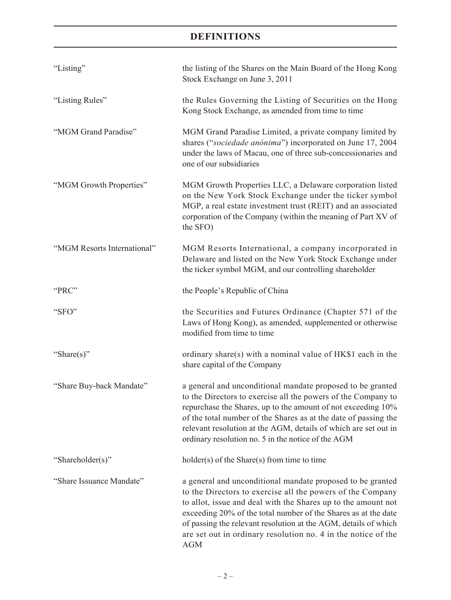# **DEFINITIONS**

| "Listing"                   | the listing of the Shares on the Main Board of the Hong Kong<br>Stock Exchange on June 3, 2011                                                                                                                                                                                                                                                                                                                |  |
|-----------------------------|---------------------------------------------------------------------------------------------------------------------------------------------------------------------------------------------------------------------------------------------------------------------------------------------------------------------------------------------------------------------------------------------------------------|--|
| "Listing Rules"             | the Rules Governing the Listing of Securities on the Hong<br>Kong Stock Exchange, as amended from time to time                                                                                                                                                                                                                                                                                                |  |
| "MGM Grand Paradise"        | MGM Grand Paradise Limited, a private company limited by<br>shares ("sociedade anónima") incorporated on June 17, 2004<br>under the laws of Macau, one of three sub-concessionaries and<br>one of our subsidiaries                                                                                                                                                                                            |  |
| "MGM Growth Properties"     | MGM Growth Properties LLC, a Delaware corporation listed<br>on the New York Stock Exchange under the ticker symbol<br>MGP, a real estate investment trust (REIT) and an associated<br>corporation of the Company (within the meaning of Part XV of<br>the SFO)                                                                                                                                                |  |
| "MGM Resorts International" | MGM Resorts International, a company incorporated in<br>Delaware and listed on the New York Stock Exchange under<br>the ticker symbol MGM, and our controlling shareholder                                                                                                                                                                                                                                    |  |
| "PRC"                       | the People's Republic of China                                                                                                                                                                                                                                                                                                                                                                                |  |
| "SFO"                       | the Securities and Futures Ordinance (Chapter 571 of the<br>Laws of Hong Kong), as amended, supplemented or otherwise<br>modified from time to time                                                                                                                                                                                                                                                           |  |
| "Share(s)"                  | ordinary share(s) with a nominal value of HK\$1 each in the<br>share capital of the Company                                                                                                                                                                                                                                                                                                                   |  |
| "Share Buy-back Mandate"    | a general and unconditional mandate proposed to be granted<br>to the Directors to exercise all the powers of the Company to<br>repurchase the Shares, up to the amount of not exceeding 10%<br>of the total number of the Shares as at the date of passing the<br>relevant resolution at the AGM, details of which are set out in<br>ordinary resolution no. 5 in the notice of the AGM                       |  |
| "Shareholder(s)"            | $holder(s)$ of the Share $(s)$ from time to time                                                                                                                                                                                                                                                                                                                                                              |  |
| "Share Issuance Mandate"    | a general and unconditional mandate proposed to be granted<br>to the Directors to exercise all the powers of the Company<br>to allot, issue and deal with the Shares up to the amount not<br>exceeding 20% of the total number of the Shares as at the date<br>of passing the relevant resolution at the AGM, details of which<br>are set out in ordinary resolution no. 4 in the notice of the<br><b>AGM</b> |  |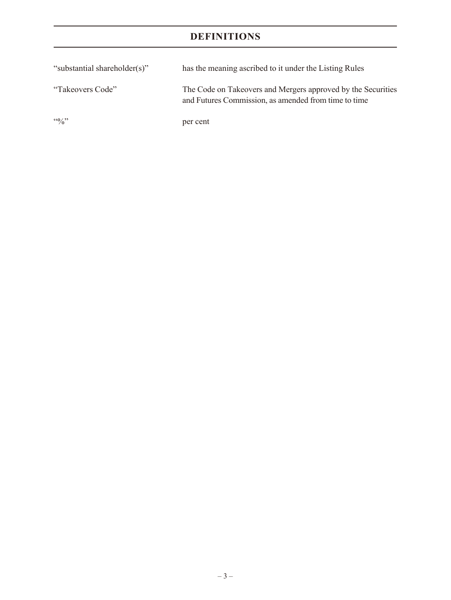# **DEFINITIONS**

| "substantial shareholder(s)" | has the meaning ascribed to it under the Listing Rules                                                               |
|------------------------------|----------------------------------------------------------------------------------------------------------------------|
| "Takeovers Code"             | The Code on Takeovers and Mergers approved by the Securities<br>and Futures Commission, as amended from time to time |
| $\frac{10}{2}$               | per cent                                                                                                             |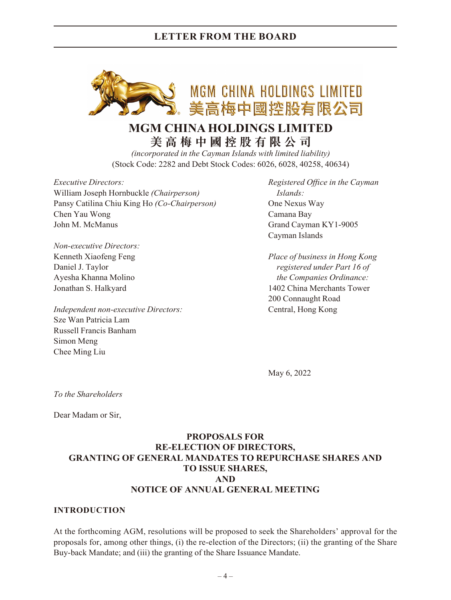

# **MGM CHINA HOLDINGS LIMITED 美高梅中國控股有限公司**

*(incorporated in the Cayman Islands with limited liability)* (Stock Code: 2282 and Debt Stock Codes: 6026, 6028, 40258, 40634)

*Executive Directors: Registered Office in the Cayman* William Joseph Hornbuckle *(Chairperson) Islands:* Pansy Catilina Chiu King Ho *(Co-Chairperson)* One Nexus Way Chen Yau Wong Camana Bay John M. McManus Grand Cayman KY1-9005

*Non-executive Directors:*

*Independent non-executive Directors:* Central, Hong Kong Sze Wan Patricia Lam Russell Francis Banham Simon Meng Chee Ming Liu

Cayman Islands

Kenneth Xiaofeng Feng *Place of business in Hong Kong* Daniel J. Taylor *registered under Part 16 of* Ayesha Khanna Molino *the Companies Ordinance:* Jonathan S. Halkyard 1402 China Merchants Tower 200 Connaught Road

May 6, 2022

*To the Shareholders*

Dear Madam or Sir,

## **PROPOSALS FOR RE-ELECTION OF DIRECTORS, GRANTING OF GENERAL MANDATES TO REPURCHASE SHARES AND TO ISSUE SHARES, AND NOTICE OF ANNUAL GENERAL MEETING**

#### **INTRODUCTION**

At the forthcoming AGM, resolutions will be proposed to seek the Shareholders' approval for the proposals for, among other things, (i) the re-election of the Directors; (ii) the granting of the Share Buy-back Mandate; and (iii) the granting of the Share Issuance Mandate.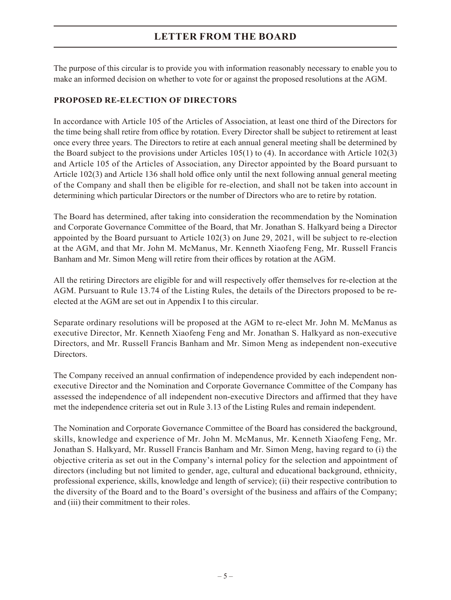The purpose of this circular is to provide you with information reasonably necessary to enable you to make an informed decision on whether to vote for or against the proposed resolutions at the AGM.

## **PROPOSED RE-ELECTION OF DIRECTORS**

In accordance with Article 105 of the Articles of Association, at least one third of the Directors for the time being shall retire from office by rotation. Every Director shall be subject to retirement at least once every three years. The Directors to retire at each annual general meeting shall be determined by the Board subject to the provisions under Articles 105(1) to (4). In accordance with Article 102(3) and Article 105 of the Articles of Association, any Director appointed by the Board pursuant to Article 102(3) and Article 136 shall hold office only until the next following annual general meeting of the Company and shall then be eligible for re-election, and shall not be taken into account in determining which particular Directors or the number of Directors who are to retire by rotation.

The Board has determined, after taking into consideration the recommendation by the Nomination and Corporate Governance Committee of the Board, that Mr. Jonathan S. Halkyard being a Director appointed by the Board pursuant to Article 102(3) on June 29, 2021, will be subject to re-election at the AGM, and that Mr. John M. McManus, Mr. Kenneth Xiaofeng Feng, Mr. Russell Francis Banham and Mr. Simon Meng will retire from their offices by rotation at the AGM.

All the retiring Directors are eligible for and will respectively offer themselves for re-election at the AGM. Pursuant to Rule 13.74 of the Listing Rules, the details of the Directors proposed to be reelected at the AGM are set out in Appendix I to this circular.

Separate ordinary resolutions will be proposed at the AGM to re-elect Mr. John M. McManus as executive Director, Mr. Kenneth Xiaofeng Feng and Mr. Jonathan S. Halkyard as non-executive Directors, and Mr. Russell Francis Banham and Mr. Simon Meng as independent non-executive Directors.

The Company received an annual confirmation of independence provided by each independent nonexecutive Director and the Nomination and Corporate Governance Committee of the Company has assessed the independence of all independent non-executive Directors and affirmed that they have met the independence criteria set out in Rule 3.13 of the Listing Rules and remain independent.

The Nomination and Corporate Governance Committee of the Board has considered the background, skills, knowledge and experience of Mr. John M. McManus, Mr. Kenneth Xiaofeng Feng, Mr. Jonathan S. Halkyard, Mr. Russell Francis Banham and Mr. Simon Meng, having regard to (i) the objective criteria as set out in the Company's internal policy for the selection and appointment of directors (including but not limited to gender, age, cultural and educational background, ethnicity, professional experience, skills, knowledge and length of service); (ii) their respective contribution to the diversity of the Board and to the Board's oversight of the business and affairs of the Company; and (iii) their commitment to their roles.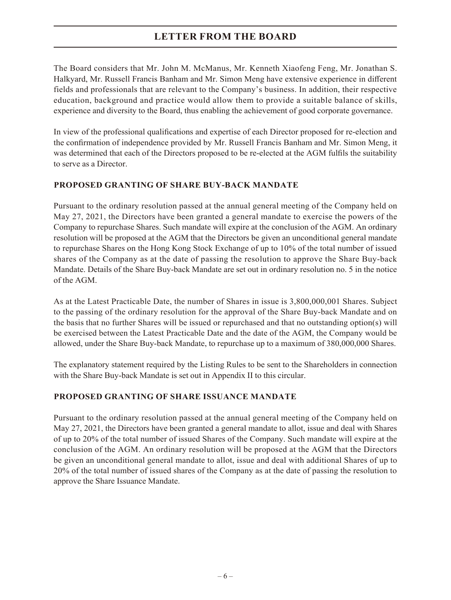The Board considers that Mr. John M. McManus, Mr. Kenneth Xiaofeng Feng, Mr. Jonathan S. Halkyard, Mr. Russell Francis Banham and Mr. Simon Meng have extensive experience in different fields and professionals that are relevant to the Company's business. In addition, their respective education, background and practice would allow them to provide a suitable balance of skills, experience and diversity to the Board, thus enabling the achievement of good corporate governance.

In view of the professional qualifications and expertise of each Director proposed for re-election and the confirmation of independence provided by Mr. Russell Francis Banham and Mr. Simon Meng, it was determined that each of the Directors proposed to be re-elected at the AGM fulfils the suitability to serve as a Director.

## **PROPOSED GRANTING OF SHARE BUY-BACK MANDATE**

Pursuant to the ordinary resolution passed at the annual general meeting of the Company held on May 27, 2021, the Directors have been granted a general mandate to exercise the powers of the Company to repurchase Shares. Such mandate will expire at the conclusion of the AGM. An ordinary resolution will be proposed at the AGM that the Directors be given an unconditional general mandate to repurchase Shares on the Hong Kong Stock Exchange of up to 10% of the total number of issued shares of the Company as at the date of passing the resolution to approve the Share Buy-back Mandate. Details of the Share Buy-back Mandate are set out in ordinary resolution no. 5 in the notice of the AGM.

As at the Latest Practicable Date, the number of Shares in issue is 3,800,000,001 Shares. Subject to the passing of the ordinary resolution for the approval of the Share Buy-back Mandate and on the basis that no further Shares will be issued or repurchased and that no outstanding option(s) will be exercised between the Latest Practicable Date and the date of the AGM, the Company would be allowed, under the Share Buy-back Mandate, to repurchase up to a maximum of 380,000,000 Shares.

The explanatory statement required by the Listing Rules to be sent to the Shareholders in connection with the Share Buy-back Mandate is set out in Appendix II to this circular.

## **PROPOSED GRANTING OF SHARE ISSUANCE MANDATE**

Pursuant to the ordinary resolution passed at the annual general meeting of the Company held on May 27, 2021, the Directors have been granted a general mandate to allot, issue and deal with Shares of up to 20% of the total number of issued Shares of the Company. Such mandate will expire at the conclusion of the AGM. An ordinary resolution will be proposed at the AGM that the Directors be given an unconditional general mandate to allot, issue and deal with additional Shares of up to 20% of the total number of issued shares of the Company as at the date of passing the resolution to approve the Share Issuance Mandate.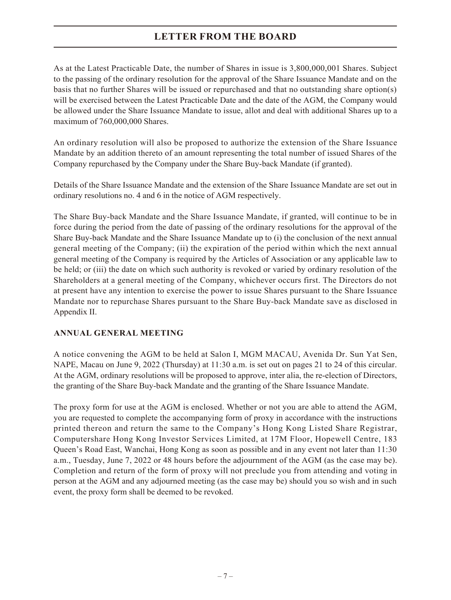As at the Latest Practicable Date, the number of Shares in issue is 3,800,000,001 Shares. Subject to the passing of the ordinary resolution for the approval of the Share Issuance Mandate and on the basis that no further Shares will be issued or repurchased and that no outstanding share option(s) will be exercised between the Latest Practicable Date and the date of the AGM, the Company would be allowed under the Share Issuance Mandate to issue, allot and deal with additional Shares up to a maximum of 760,000,000 Shares.

An ordinary resolution will also be proposed to authorize the extension of the Share Issuance Mandate by an addition thereto of an amount representing the total number of issued Shares of the Company repurchased by the Company under the Share Buy-back Mandate (if granted).

Details of the Share Issuance Mandate and the extension of the Share Issuance Mandate are set out in ordinary resolutions no. 4 and 6 in the notice of AGM respectively.

The Share Buy-back Mandate and the Share Issuance Mandate, if granted, will continue to be in force during the period from the date of passing of the ordinary resolutions for the approval of the Share Buy-back Mandate and the Share Issuance Mandate up to (i) the conclusion of the next annual general meeting of the Company; (ii) the expiration of the period within which the next annual general meeting of the Company is required by the Articles of Association or any applicable law to be held; or (iii) the date on which such authority is revoked or varied by ordinary resolution of the Shareholders at a general meeting of the Company, whichever occurs first. The Directors do not at present have any intention to exercise the power to issue Shares pursuant to the Share Issuance Mandate nor to repurchase Shares pursuant to the Share Buy-back Mandate save as disclosed in Appendix II.

## **ANNUAL GENERAL MEETING**

A notice convening the AGM to be held at Salon I, MGM MACAU, Avenida Dr. Sun Yat Sen, NAPE, Macau on June 9, 2022 (Thursday) at 11:30 a.m. is set out on pages 21 to 24 of this circular. At the AGM, ordinary resolutions will be proposed to approve, inter alia, the re-election of Directors, the granting of the Share Buy-back Mandate and the granting of the Share Issuance Mandate.

The proxy form for use at the AGM is enclosed. Whether or not you are able to attend the AGM, you are requested to complete the accompanying form of proxy in accordance with the instructions printed thereon and return the same to the Company's Hong Kong Listed Share Registrar, Computershare Hong Kong Investor Services Limited, at 17M Floor, Hopewell Centre, 183 Queen's Road East, Wanchai, Hong Kong as soon as possible and in any event not later than 11:30 a.m., Tuesday, June 7, 2022 or 48 hours before the adjournment of the AGM (as the case may be). Completion and return of the form of proxy will not preclude you from attending and voting in person at the AGM and any adjourned meeting (as the case may be) should you so wish and in such event, the proxy form shall be deemed to be revoked.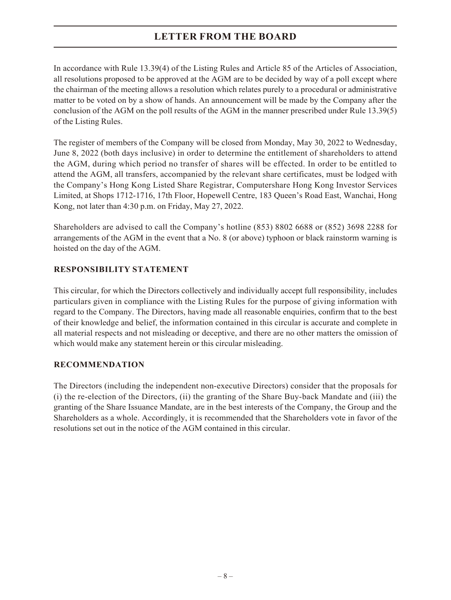In accordance with Rule 13.39(4) of the Listing Rules and Article 85 of the Articles of Association, all resolutions proposed to be approved at the AGM are to be decided by way of a poll except where the chairman of the meeting allows a resolution which relates purely to a procedural or administrative matter to be voted on by a show of hands. An announcement will be made by the Company after the conclusion of the AGM on the poll results of the AGM in the manner prescribed under Rule 13.39(5) of the Listing Rules.

The register of members of the Company will be closed from Monday, May 30, 2022 to Wednesday, June 8, 2022 (both days inclusive) in order to determine the entitlement of shareholders to attend the AGM, during which period no transfer of shares will be effected. In order to be entitled to attend the AGM, all transfers, accompanied by the relevant share certificates, must be lodged with the Company's Hong Kong Listed Share Registrar, Computershare Hong Kong Investor Services Limited, at Shops 1712-1716, 17th Floor, Hopewell Centre, 183 Queen's Road East, Wanchai, Hong Kong, not later than 4:30 p.m. on Friday, May 27, 2022.

Shareholders are advised to call the Company's hotline (853) 8802 6688 or (852) 3698 2288 for arrangements of the AGM in the event that a No. 8 (or above) typhoon or black rainstorm warning is hoisted on the day of the AGM.

## **RESPONSIBILITY STATEMENT**

This circular, for which the Directors collectively and individually accept full responsibility, includes particulars given in compliance with the Listing Rules for the purpose of giving information with regard to the Company. The Directors, having made all reasonable enquiries, confirm that to the best of their knowledge and belief, the information contained in this circular is accurate and complete in all material respects and not misleading or deceptive, and there are no other matters the omission of which would make any statement herein or this circular misleading.

## **RECOMMENDATION**

The Directors (including the independent non-executive Directors) consider that the proposals for (i) the re-election of the Directors, (ii) the granting of the Share Buy-back Mandate and (iii) the granting of the Share Issuance Mandate, are in the best interests of the Company, the Group and the Shareholders as a whole. Accordingly, it is recommended that the Shareholders vote in favor of the resolutions set out in the notice of the AGM contained in this circular.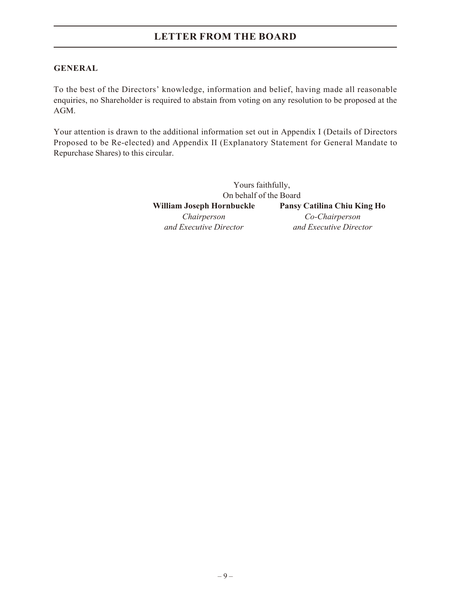### **GENERAL**

To the best of the Directors' knowledge, information and belief, having made all reasonable enquiries, no Shareholder is required to abstain from voting on any resolution to be proposed at the AGM.

Your attention is drawn to the additional information set out in Appendix I (Details of Directors Proposed to be Re-elected) and Appendix II (Explanatory Statement for General Mandate to Repurchase Shares) to this circular.

> Yours faithfully, On behalf of the Board **William Joseph Hornbuckle Pansy Catilina Chiu King Ho** *Chairperson Co-Chairperson and Executive Director and Executive Director*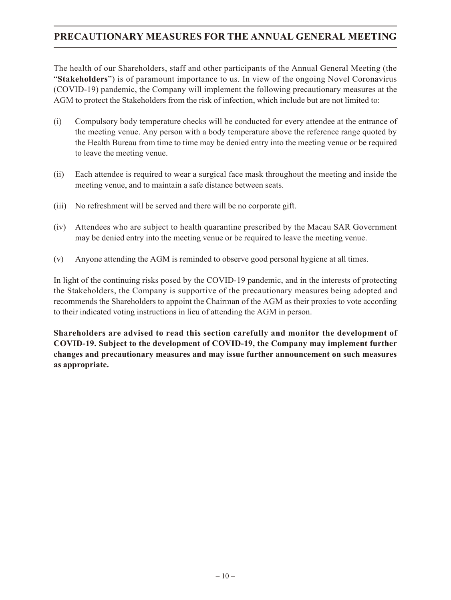## **PRECAUTIONARY MEASURES FOR THE ANNUAL GENERAL MEETING**

The health of our Shareholders, staff and other participants of the Annual General Meeting (the "**Stakeholders**") is of paramount importance to us. In view of the ongoing Novel Coronavirus (COVID-19) pandemic, the Company will implement the following precautionary measures at the AGM to protect the Stakeholders from the risk of infection, which include but are not limited to:

- (i) Compulsory body temperature checks will be conducted for every attendee at the entrance of the meeting venue. Any person with a body temperature above the reference range quoted by the Health Bureau from time to time may be denied entry into the meeting venue or be required to leave the meeting venue.
- (ii) Each attendee is required to wear a surgical face mask throughout the meeting and inside the meeting venue, and to maintain a safe distance between seats.
- (iii) No refreshment will be served and there will be no corporate gift.
- (iv) Attendees who are subject to health quarantine prescribed by the Macau SAR Government may be denied entry into the meeting venue or be required to leave the meeting venue.
- (v) Anyone attending the AGM is reminded to observe good personal hygiene at all times.

In light of the continuing risks posed by the COVID-19 pandemic, and in the interests of protecting the Stakeholders, the Company is supportive of the precautionary measures being adopted and recommends the Shareholders to appoint the Chairman of the AGM as their proxies to vote according to their indicated voting instructions in lieu of attending the AGM in person.

**Shareholders are advised to read this section carefully and monitor the development of COVID-19. Subject to the development of COVID-19, the Company may implement further changes and precautionary measures and may issue further announcement on such measures as appropriate.**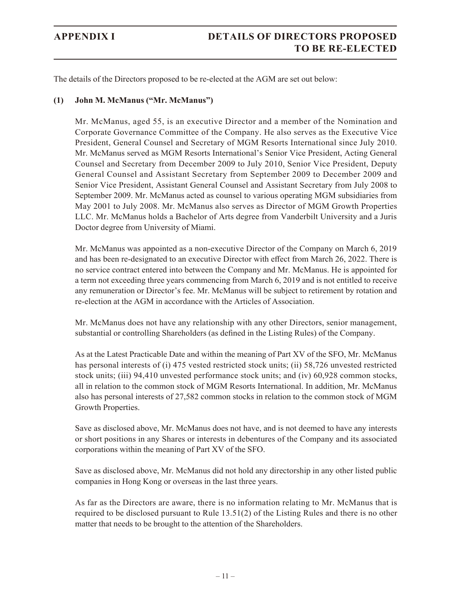The details of the Directors proposed to be re-elected at the AGM are set out below:

#### **(1) John M. McManus ("Mr. McManus")**

Mr. McManus, aged 55, is an executive Director and a member of the Nomination and Corporate Governance Committee of the Company. He also serves as the Executive Vice President, General Counsel and Secretary of MGM Resorts International since July 2010. Mr. McManus served as MGM Resorts International's Senior Vice President, Acting General Counsel and Secretary from December 2009 to July 2010, Senior Vice President, Deputy General Counsel and Assistant Secretary from September 2009 to December 2009 and Senior Vice President, Assistant General Counsel and Assistant Secretary from July 2008 to September 2009. Mr. McManus acted as counsel to various operating MGM subsidiaries from May 2001 to July 2008. Mr. McManus also serves as Director of MGM Growth Properties LLC. Mr. McManus holds a Bachelor of Arts degree from Vanderbilt University and a Juris Doctor degree from University of Miami.

Mr. McManus was appointed as a non-executive Director of the Company on March 6, 2019 and has been re-designated to an executive Director with effect from March 26, 2022. There is no service contract entered into between the Company and Mr. McManus. He is appointed for a term not exceeding three years commencing from March 6, 2019 and is not entitled to receive any remuneration or Director's fee. Mr. McManus will be subject to retirement by rotation and re-election at the AGM in accordance with the Articles of Association.

Mr. McManus does not have any relationship with any other Directors, senior management, substantial or controlling Shareholders (as defined in the Listing Rules) of the Company.

As at the Latest Practicable Date and within the meaning of Part XV of the SFO, Mr. McManus has personal interests of (i) 475 vested restricted stock units; (ii) 58,726 unvested restricted stock units; (iii) 94,410 unvested performance stock units; and (iv) 60,928 common stocks, all in relation to the common stock of MGM Resorts International. In addition, Mr. McManus also has personal interests of 27,582 common stocks in relation to the common stock of MGM Growth Properties.

Save as disclosed above, Mr. McManus does not have, and is not deemed to have any interests or short positions in any Shares or interests in debentures of the Company and its associated corporations within the meaning of Part XV of the SFO.

Save as disclosed above, Mr. McManus did not hold any directorship in any other listed public companies in Hong Kong or overseas in the last three years.

As far as the Directors are aware, there is no information relating to Mr. McManus that is required to be disclosed pursuant to Rule 13.51(2) of the Listing Rules and there is no other matter that needs to be brought to the attention of the Shareholders.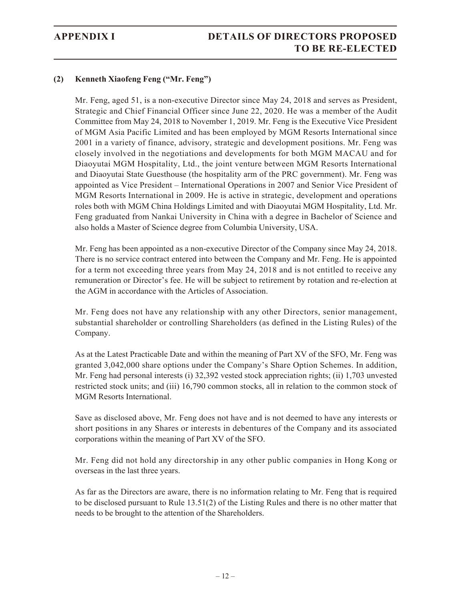## **APPENDIX I DETAILS OF DIRECTORS PROPOSED TO BE RE-ELECTED**

## **(2) Kenneth Xiaofeng Feng ("Mr. Feng")**

Mr. Feng, aged 51, is a non-executive Director since May 24, 2018 and serves as President, Strategic and Chief Financial Officer since June 22, 2020. He was a member of the Audit Committee from May 24, 2018 to November 1, 2019. Mr. Feng is the Executive Vice President of MGM Asia Pacific Limited and has been employed by MGM Resorts International since 2001 in a variety of finance, advisory, strategic and development positions. Mr. Feng was closely involved in the negotiations and developments for both MGM MACAU and for Diaoyutai MGM Hospitality, Ltd., the joint venture between MGM Resorts International and Diaoyutai State Guesthouse (the hospitality arm of the PRC government). Mr. Feng was appointed as Vice President – International Operations in 2007 and Senior Vice President of MGM Resorts International in 2009. He is active in strategic, development and operations roles both with MGM China Holdings Limited and with Diaoyutai MGM Hospitality, Ltd. Mr. Feng graduated from Nankai University in China with a degree in Bachelor of Science and also holds a Master of Science degree from Columbia University, USA.

Mr. Feng has been appointed as a non-executive Director of the Company since May 24, 2018. There is no service contract entered into between the Company and Mr. Feng. He is appointed for a term not exceeding three years from May 24, 2018 and is not entitled to receive any remuneration or Director's fee. He will be subject to retirement by rotation and re-election at the AGM in accordance with the Articles of Association.

Mr. Feng does not have any relationship with any other Directors, senior management, substantial shareholder or controlling Shareholders (as defined in the Listing Rules) of the Company.

As at the Latest Practicable Date and within the meaning of Part XV of the SFO, Mr. Feng was granted 3,042,000 share options under the Company's Share Option Schemes. In addition, Mr. Feng had personal interests (i) 32,392 vested stock appreciation rights; (ii) 1,703 unvested restricted stock units; and (iii) 16,790 common stocks, all in relation to the common stock of MGM Resorts International.

Save as disclosed above, Mr. Feng does not have and is not deemed to have any interests or short positions in any Shares or interests in debentures of the Company and its associated corporations within the meaning of Part XV of the SFO.

Mr. Feng did not hold any directorship in any other public companies in Hong Kong or overseas in the last three years.

As far as the Directors are aware, there is no information relating to Mr. Feng that is required to be disclosed pursuant to Rule 13.51(2) of the Listing Rules and there is no other matter that needs to be brought to the attention of the Shareholders.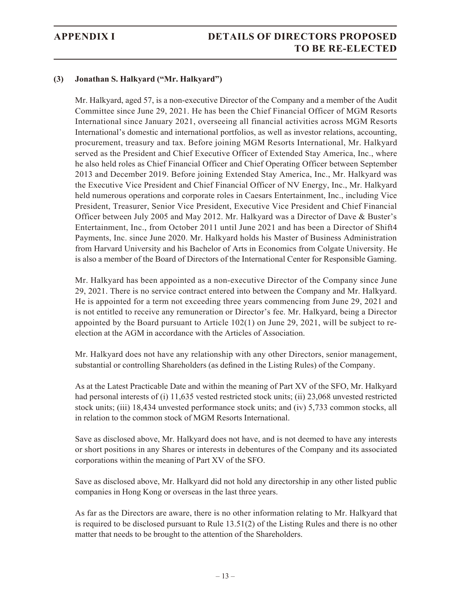## **(3) Jonathan S. Halkyard ("Mr. Halkyard")**

Mr. Halkyard, aged 57, is a non-executive Director of the Company and a member of the Audit Committee since June 29, 2021. He has been the Chief Financial Officer of MGM Resorts International since January 2021, overseeing all financial activities across MGM Resorts International's domestic and international portfolios, as well as investor relations, accounting, procurement, treasury and tax. Before joining MGM Resorts International, Mr. Halkyard served as the President and Chief Executive Officer of Extended Stay America, Inc., where he also held roles as Chief Financial Officer and Chief Operating Officer between September 2013 and December 2019. Before joining Extended Stay America, Inc., Mr. Halkyard was the Executive Vice President and Chief Financial Officer of NV Energy, Inc., Mr. Halkyard held numerous operations and corporate roles in Caesars Entertainment, Inc., including Vice President, Treasurer, Senior Vice President, Executive Vice President and Chief Financial Officer between July 2005 and May 2012. Mr. Halkyard was a Director of Dave & Buster's Entertainment, Inc., from October 2011 until June 2021 and has been a Director of Shift4 Payments, Inc. since June 2020. Mr. Halkyard holds his Master of Business Administration from Harvard University and his Bachelor of Arts in Economics from Colgate University. He is also a member of the Board of Directors of the International Center for Responsible Gaming.

Mr. Halkyard has been appointed as a non-executive Director of the Company since June 29, 2021. There is no service contract entered into between the Company and Mr. Halkyard. He is appointed for a term not exceeding three years commencing from June 29, 2021 and is not entitled to receive any remuneration or Director's fee. Mr. Halkyard, being a Director appointed by the Board pursuant to Article 102(1) on June 29, 2021, will be subject to reelection at the AGM in accordance with the Articles of Association.

Mr. Halkyard does not have any relationship with any other Directors, senior management, substantial or controlling Shareholders (as defined in the Listing Rules) of the Company.

As at the Latest Practicable Date and within the meaning of Part XV of the SFO, Mr. Halkyard had personal interests of (i) 11,635 vested restricted stock units; (ii) 23,068 unvested restricted stock units; (iii) 18,434 unvested performance stock units; and (iv) 5,733 common stocks, all in relation to the common stock of MGM Resorts International.

Save as disclosed above, Mr. Halkyard does not have, and is not deemed to have any interests or short positions in any Shares or interests in debentures of the Company and its associated corporations within the meaning of Part XV of the SFO.

Save as disclosed above, Mr. Halkyard did not hold any directorship in any other listed public companies in Hong Kong or overseas in the last three years.

As far as the Directors are aware, there is no other information relating to Mr. Halkyard that is required to be disclosed pursuant to Rule 13.51(2) of the Listing Rules and there is no other matter that needs to be brought to the attention of the Shareholders.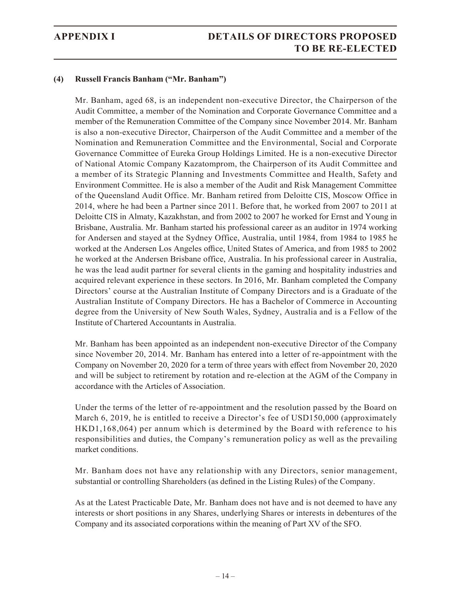## **APPENDIX I DETAILS OF DIRECTORS PROPOSED TO BE RE-ELECTED**

#### **(4) Russell Francis Banham ("Mr. Banham")**

Mr. Banham, aged 68, is an independent non-executive Director, the Chairperson of the Audit Committee, a member of the Nomination and Corporate Governance Committee and a member of the Remuneration Committee of the Company since November 2014. Mr. Banham is also a non-executive Director, Chairperson of the Audit Committee and a member of the Nomination and Remuneration Committee and the Environmental, Social and Corporate Governance Committee of Eureka Group Holdings Limited. He is a non-executive Director of National Atomic Company Kazatomprom, the Chairperson of its Audit Committee and a member of its Strategic Planning and Investments Committee and Health, Safety and Environment Committee. He is also a member of the Audit and Risk Management Committee of the Queensland Audit Office. Mr. Banham retired from Deloitte CIS, Moscow Office in 2014, where he had been a Partner since 2011. Before that, he worked from 2007 to 2011 at Deloitte CIS in Almaty, Kazakhstan, and from 2002 to 2007 he worked for Ernst and Young in Brisbane, Australia. Mr. Banham started his professional career as an auditor in 1974 working for Andersen and stayed at the Sydney Office, Australia, until 1984, from 1984 to 1985 he worked at the Andersen Los Angeles office, United States of America, and from 1985 to 2002 he worked at the Andersen Brisbane office, Australia. In his professional career in Australia, he was the lead audit partner for several clients in the gaming and hospitality industries and acquired relevant experience in these sectors. In 2016, Mr. Banham completed the Company Directors' course at the Australian Institute of Company Directors and is a Graduate of the Australian Institute of Company Directors. He has a Bachelor of Commerce in Accounting degree from the University of New South Wales, Sydney, Australia and is a Fellow of the Institute of Chartered Accountants in Australia.

Mr. Banham has been appointed as an independent non-executive Director of the Company since November 20, 2014. Mr. Banham has entered into a letter of re-appointment with the Company on November 20, 2020 for a term of three years with effect from November 20, 2020 and will be subject to retirement by rotation and re-election at the AGM of the Company in accordance with the Articles of Association.

Under the terms of the letter of re-appointment and the resolution passed by the Board on March 6, 2019, he is entitled to receive a Director's fee of USD150,000 (approximately HKD1,168,064) per annum which is determined by the Board with reference to his responsibilities and duties, the Company's remuneration policy as well as the prevailing market conditions.

Mr. Banham does not have any relationship with any Directors, senior management, substantial or controlling Shareholders (as defined in the Listing Rules) of the Company.

As at the Latest Practicable Date, Mr. Banham does not have and is not deemed to have any interests or short positions in any Shares, underlying Shares or interests in debentures of the Company and its associated corporations within the meaning of Part XV of the SFO.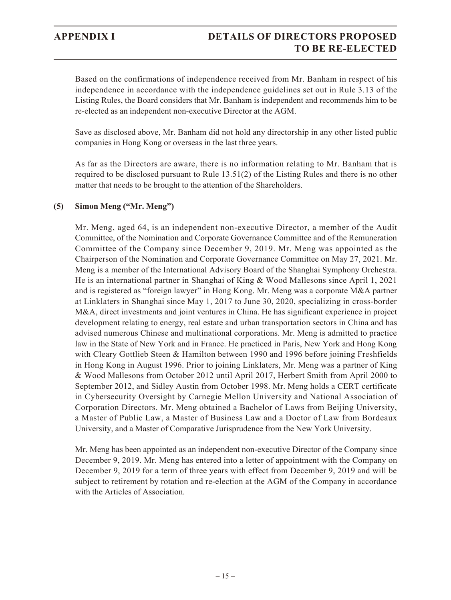Based on the confirmations of independence received from Mr. Banham in respect of his independence in accordance with the independence guidelines set out in Rule 3.13 of the Listing Rules, the Board considers that Mr. Banham is independent and recommends him to be re-elected as an independent non-executive Director at the AGM.

Save as disclosed above, Mr. Banham did not hold any directorship in any other listed public companies in Hong Kong or overseas in the last three years.

As far as the Directors are aware, there is no information relating to Mr. Banham that is required to be disclosed pursuant to Rule 13.51(2) of the Listing Rules and there is no other matter that needs to be brought to the attention of the Shareholders.

## **(5) Simon Meng ("Mr. Meng")**

Mr. Meng, aged 64, is an independent non-executive Director, a member of the Audit Committee, of the Nomination and Corporate Governance Committee and of the Remuneration Committee of the Company since December 9, 2019. Mr. Meng was appointed as the Chairperson of the Nomination and Corporate Governance Committee on May 27, 2021. Mr. Meng is a member of the International Advisory Board of the Shanghai Symphony Orchestra. He is an international partner in Shanghai of King & Wood Mallesons since April 1, 2021 and is registered as "foreign lawyer" in Hong Kong. Mr. Meng was a corporate M&A partner at Linklaters in Shanghai since May 1, 2017 to June 30, 2020, specializing in cross-border M&A, direct investments and joint ventures in China. He has significant experience in project development relating to energy, real estate and urban transportation sectors in China and has advised numerous Chinese and multinational corporations. Mr. Meng is admitted to practice law in the State of New York and in France. He practiced in Paris, New York and Hong Kong with Cleary Gottlieb Steen & Hamilton between 1990 and 1996 before joining Freshfields in Hong Kong in August 1996. Prior to joining Linklaters, Mr. Meng was a partner of King & Wood Mallesons from October 2012 until April 2017, Herbert Smith from April 2000 to September 2012, and Sidley Austin from October 1998. Mr. Meng holds a CERT certificate in Cybersecurity Oversight by Carnegie Mellon University and National Association of Corporation Directors. Mr. Meng obtained a Bachelor of Laws from Beijing University, a Master of Public Law, a Master of Business Law and a Doctor of Law from Bordeaux University, and a Master of Comparative Jurisprudence from the New York University.

Mr. Meng has been appointed as an independent non-executive Director of the Company since December 9, 2019. Mr. Meng has entered into a letter of appointment with the Company on December 9, 2019 for a term of three years with effect from December 9, 2019 and will be subject to retirement by rotation and re-election at the AGM of the Company in accordance with the Articles of Association.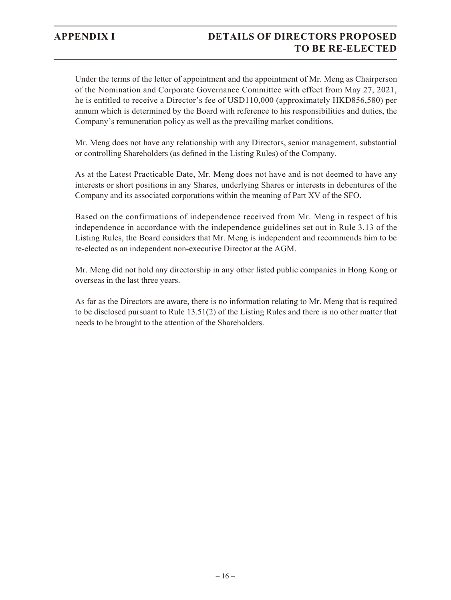## **APPENDIX I DETAILS OF DIRECTORS PROPOSED TO BE RE-ELECTED**

Under the terms of the letter of appointment and the appointment of Mr. Meng as Chairperson of the Nomination and Corporate Governance Committee with effect from May 27, 2021, he is entitled to receive a Director's fee of USD110,000 (approximately HKD856,580) per annum which is determined by the Board with reference to his responsibilities and duties, the Company's remuneration policy as well as the prevailing market conditions.

Mr. Meng does not have any relationship with any Directors, senior management, substantial or controlling Shareholders (as defined in the Listing Rules) of the Company.

As at the Latest Practicable Date, Mr. Meng does not have and is not deemed to have any interests or short positions in any Shares, underlying Shares or interests in debentures of the Company and its associated corporations within the meaning of Part XV of the SFO.

Based on the confirmations of independence received from Mr. Meng in respect of his independence in accordance with the independence guidelines set out in Rule 3.13 of the Listing Rules, the Board considers that Mr. Meng is independent and recommends him to be re-elected as an independent non-executive Director at the AGM.

Mr. Meng did not hold any directorship in any other listed public companies in Hong Kong or overseas in the last three years.

As far as the Directors are aware, there is no information relating to Mr. Meng that is required to be disclosed pursuant to Rule 13.51(2) of the Listing Rules and there is no other matter that needs to be brought to the attention of the Shareholders.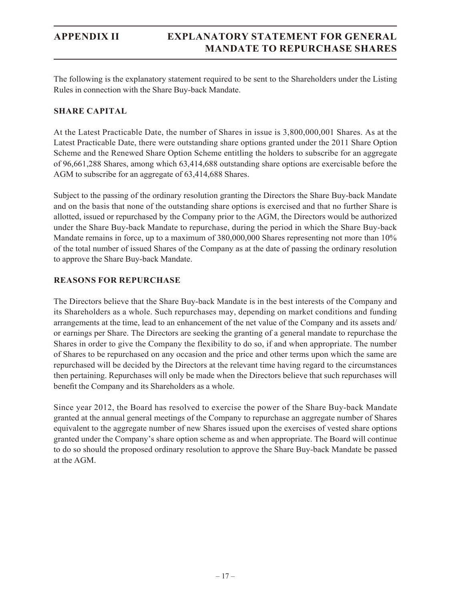The following is the explanatory statement required to be sent to the Shareholders under the Listing Rules in connection with the Share Buy-back Mandate.

### **SHARE CAPITAL**

At the Latest Practicable Date, the number of Shares in issue is 3,800,000,001 Shares. As at the Latest Practicable Date, there were outstanding share options granted under the 2011 Share Option Scheme and the Renewed Share Option Scheme entitling the holders to subscribe for an aggregate of 96,661,288 Shares, among which 63,414,688 outstanding share options are exercisable before the AGM to subscribe for an aggregate of 63,414,688 Shares.

Subject to the passing of the ordinary resolution granting the Directors the Share Buy-back Mandate and on the basis that none of the outstanding share options is exercised and that no further Share is allotted, issued or repurchased by the Company prior to the AGM, the Directors would be authorized under the Share Buy-back Mandate to repurchase, during the period in which the Share Buy-back Mandate remains in force, up to a maximum of 380,000,000 Shares representing not more than 10% of the total number of issued Shares of the Company as at the date of passing the ordinary resolution to approve the Share Buy-back Mandate.

### **REASONS FOR REPURCHASE**

The Directors believe that the Share Buy-back Mandate is in the best interests of the Company and its Shareholders as a whole. Such repurchases may, depending on market conditions and funding arrangements at the time, lead to an enhancement of the net value of the Company and its assets and/ or earnings per Share. The Directors are seeking the granting of a general mandate to repurchase the Shares in order to give the Company the flexibility to do so, if and when appropriate. The number of Shares to be repurchased on any occasion and the price and other terms upon which the same are repurchased will be decided by the Directors at the relevant time having regard to the circumstances then pertaining. Repurchases will only be made when the Directors believe that such repurchases will benefit the Company and its Shareholders as a whole.

Since year 2012, the Board has resolved to exercise the power of the Share Buy-back Mandate granted at the annual general meetings of the Company to repurchase an aggregate number of Shares equivalent to the aggregate number of new Shares issued upon the exercises of vested share options granted under the Company's share option scheme as and when appropriate. The Board will continue to do so should the proposed ordinary resolution to approve the Share Buy-back Mandate be passed at the AGM.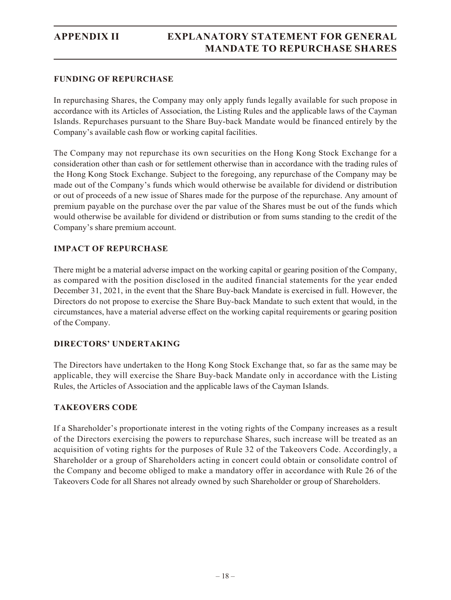#### **FUNDING OF REPURCHASE**

In repurchasing Shares, the Company may only apply funds legally available for such propose in accordance with its Articles of Association, the Listing Rules and the applicable laws of the Cayman Islands. Repurchases pursuant to the Share Buy-back Mandate would be financed entirely by the Company's available cash flow or working capital facilities.

The Company may not repurchase its own securities on the Hong Kong Stock Exchange for a consideration other than cash or for settlement otherwise than in accordance with the trading rules of the Hong Kong Stock Exchange. Subject to the foregoing, any repurchase of the Company may be made out of the Company's funds which would otherwise be available for dividend or distribution or out of proceeds of a new issue of Shares made for the purpose of the repurchase. Any amount of premium payable on the purchase over the par value of the Shares must be out of the funds which would otherwise be available for dividend or distribution or from sums standing to the credit of the Company's share premium account.

## **IMPACT OF REPURCHASE**

There might be a material adverse impact on the working capital or gearing position of the Company, as compared with the position disclosed in the audited financial statements for the year ended December 31, 2021, in the event that the Share Buy-back Mandate is exercised in full. However, the Directors do not propose to exercise the Share Buy-back Mandate to such extent that would, in the circumstances, have a material adverse effect on the working capital requirements or gearing position of the Company.

## **DIRECTORS' UNDERTAKING**

The Directors have undertaken to the Hong Kong Stock Exchange that, so far as the same may be applicable, they will exercise the Share Buy-back Mandate only in accordance with the Listing Rules, the Articles of Association and the applicable laws of the Cayman Islands.

## **TAKEOVERS CODE**

If a Shareholder's proportionate interest in the voting rights of the Company increases as a result of the Directors exercising the powers to repurchase Shares, such increase will be treated as an acquisition of voting rights for the purposes of Rule 32 of the Takeovers Code. Accordingly, a Shareholder or a group of Shareholders acting in concert could obtain or consolidate control of the Company and become obliged to make a mandatory offer in accordance with Rule 26 of the Takeovers Code for all Shares not already owned by such Shareholder or group of Shareholders.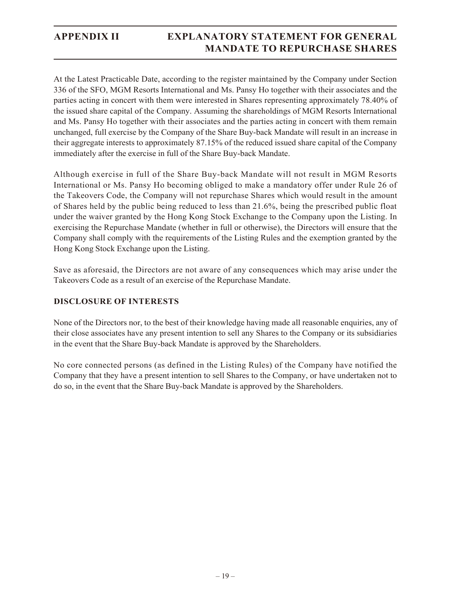## **APPENDIX II EXPLANATORY STATEMENT FOR GENERAL MANDATE TO REPURCHASE SHARES**

At the Latest Practicable Date, according to the register maintained by the Company under Section 336 of the SFO, MGM Resorts International and Ms. Pansy Ho together with their associates and the parties acting in concert with them were interested in Shares representing approximately 78.40% of the issued share capital of the Company. Assuming the shareholdings of MGM Resorts International and Ms. Pansy Ho together with their associates and the parties acting in concert with them remain unchanged, full exercise by the Company of the Share Buy-back Mandate will result in an increase in their aggregate interests to approximately 87.15% of the reduced issued share capital of the Company immediately after the exercise in full of the Share Buy-back Mandate.

Although exercise in full of the Share Buy-back Mandate will not result in MGM Resorts International or Ms. Pansy Ho becoming obliged to make a mandatory offer under Rule 26 of the Takeovers Code, the Company will not repurchase Shares which would result in the amount of Shares held by the public being reduced to less than 21.6%, being the prescribed public float under the waiver granted by the Hong Kong Stock Exchange to the Company upon the Listing. In exercising the Repurchase Mandate (whether in full or otherwise), the Directors will ensure that the Company shall comply with the requirements of the Listing Rules and the exemption granted by the Hong Kong Stock Exchange upon the Listing.

Save as aforesaid, the Directors are not aware of any consequences which may arise under the Takeovers Code as a result of an exercise of the Repurchase Mandate.

## **DISCLOSURE OF INTERESTS**

None of the Directors nor, to the best of their knowledge having made all reasonable enquiries, any of their close associates have any present intention to sell any Shares to the Company or its subsidiaries in the event that the Share Buy-back Mandate is approved by the Shareholders.

No core connected persons (as defined in the Listing Rules) of the Company have notified the Company that they have a present intention to sell Shares to the Company, or have undertaken not to do so, in the event that the Share Buy-back Mandate is approved by the Shareholders.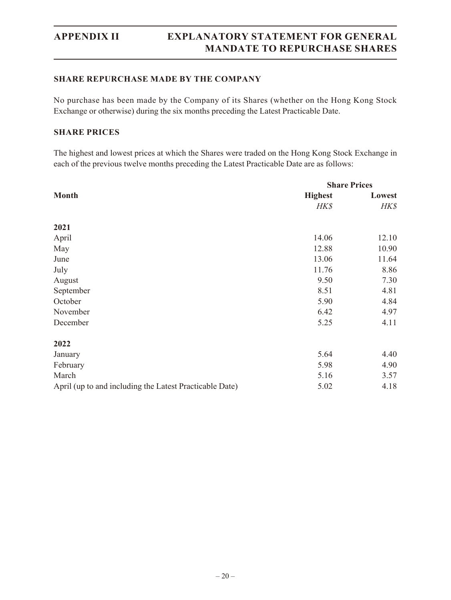#### **SHARE REPURCHASE MADE BY THE COMPANY**

No purchase has been made by the Company of its Shares (whether on the Hong Kong Stock Exchange or otherwise) during the six months preceding the Latest Practicable Date.

### **SHARE PRICES**

The highest and lowest prices at which the Shares were traded on the Hong Kong Stock Exchange in each of the previous twelve months preceding the Latest Practicable Date are as follows:

|                                                         | <b>Share Prices</b> |        |  |
|---------------------------------------------------------|---------------------|--------|--|
| <b>Month</b>                                            | <b>Highest</b>      | Lowest |  |
|                                                         | HK\$                | HK\$   |  |
| 2021                                                    |                     |        |  |
| April                                                   | 14.06               | 12.10  |  |
| May                                                     | 12.88               | 10.90  |  |
| June                                                    | 13.06               | 11.64  |  |
| July                                                    | 11.76               | 8.86   |  |
| August                                                  | 9.50                | 7.30   |  |
| September                                               | 8.51                | 4.81   |  |
| October                                                 | 5.90                | 4.84   |  |
| November                                                | 6.42                | 4.97   |  |
| December                                                | 5.25                | 4.11   |  |
| 2022                                                    |                     |        |  |
| January                                                 | 5.64                | 4.40   |  |
| February                                                | 5.98                | 4.90   |  |
| March                                                   | 5.16                | 3.57   |  |
| April (up to and including the Latest Practicable Date) | 5.02                | 4.18   |  |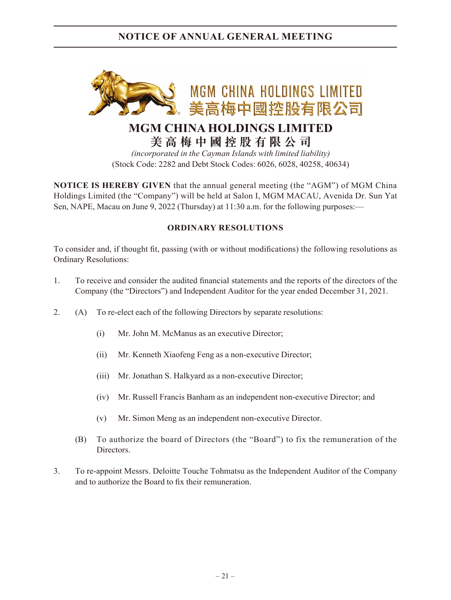## **NOTICE OF ANNUAL GENERAL MEETING**



## **MGM CHINA HOLDINGS LIMITED 美高梅中國控股有限公司**

*(incorporated in the Cayman Islands with limited liability)* (Stock Code: 2282 and Debt Stock Codes: 6026, 6028, 40258, 40634)

**NOTICE IS HEREBY GIVEN** that the annual general meeting (the "AGM") of MGM China Holdings Limited (the "Company") will be held at Salon I, MGM MACAU, Avenida Dr. Sun Yat Sen, NAPE, Macau on June 9, 2022 (Thursday) at 11:30 a.m. for the following purposes:—

## **ORDINARY RESOLUTIONS**

To consider and, if thought fit, passing (with or without modifications) the following resolutions as Ordinary Resolutions:

- 1. To receive and consider the audited financial statements and the reports of the directors of the Company (the "Directors") and Independent Auditor for the year ended December 31, 2021.
- 2. (A) To re-elect each of the following Directors by separate resolutions:
	- (i) Mr. John M. McManus as an executive Director;
	- (ii) Mr. Kenneth Xiaofeng Feng as a non-executive Director;
	- (iii) Mr. Jonathan S. Halkyard as a non-executive Director;
	- (iv) Mr. Russell Francis Banham as an independent non-executive Director; and
	- (v) Mr. Simon Meng as an independent non-executive Director.
	- (B) To authorize the board of Directors (the "Board") to fix the remuneration of the Directors.
- 3. To re-appoint Messrs. Deloitte Touche Tohmatsu as the Independent Auditor of the Company and to authorize the Board to fix their remuneration.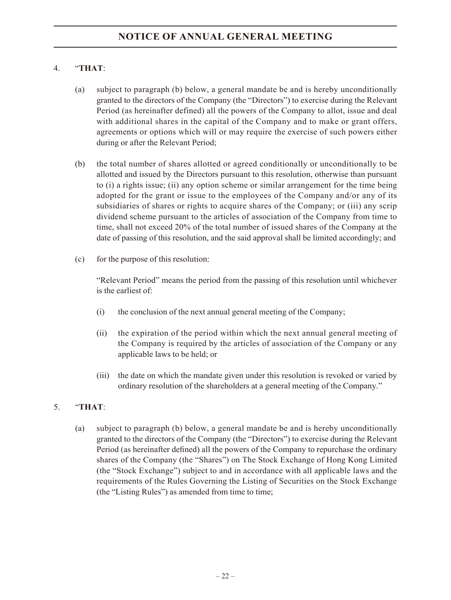## 4. "**THAT**:

- (a) subject to paragraph (b) below, a general mandate be and is hereby unconditionally granted to the directors of the Company (the "Directors") to exercise during the Relevant Period (as hereinafter defined) all the powers of the Company to allot, issue and deal with additional shares in the capital of the Company and to make or grant offers, agreements or options which will or may require the exercise of such powers either during or after the Relevant Period;
- (b) the total number of shares allotted or agreed conditionally or unconditionally to be allotted and issued by the Directors pursuant to this resolution, otherwise than pursuant to (i) a rights issue; (ii) any option scheme or similar arrangement for the time being adopted for the grant or issue to the employees of the Company and/or any of its subsidiaries of shares or rights to acquire shares of the Company; or (iii) any scrip dividend scheme pursuant to the articles of association of the Company from time to time, shall not exceed 20% of the total number of issued shares of the Company at the date of passing of this resolution, and the said approval shall be limited accordingly; and
- (c) for the purpose of this resolution:

"Relevant Period" means the period from the passing of this resolution until whichever is the earliest of:

- (i) the conclusion of the next annual general meeting of the Company;
- (ii) the expiration of the period within which the next annual general meeting of the Company is required by the articles of association of the Company or any applicable laws to be held; or
- (iii) the date on which the mandate given under this resolution is revoked or varied by ordinary resolution of the shareholders at a general meeting of the Company."

## 5. "**THAT**:

(a) subject to paragraph (b) below, a general mandate be and is hereby unconditionally granted to the directors of the Company (the "Directors") to exercise during the Relevant Period (as hereinafter defined) all the powers of the Company to repurchase the ordinary shares of the Company (the "Shares") on The Stock Exchange of Hong Kong Limited (the "Stock Exchange") subject to and in accordance with all applicable laws and the requirements of the Rules Governing the Listing of Securities on the Stock Exchange (the "Listing Rules") as amended from time to time;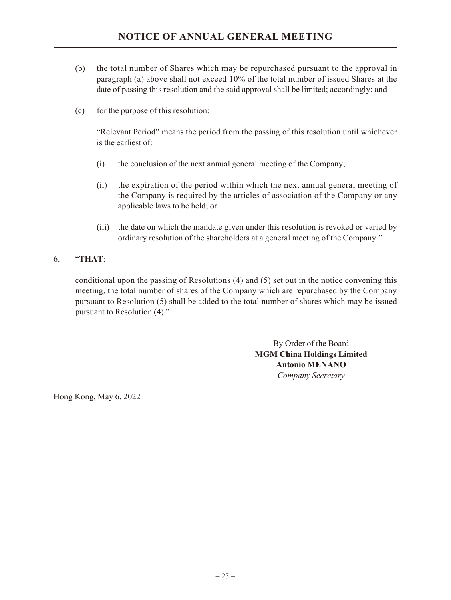## **NOTICE OF ANNUAL GENERAL MEETING**

- (b) the total number of Shares which may be repurchased pursuant to the approval in paragraph (a) above shall not exceed 10% of the total number of issued Shares at the date of passing this resolution and the said approval shall be limited; accordingly; and
- (c) for the purpose of this resolution:

"Relevant Period" means the period from the passing of this resolution until whichever is the earliest of:

- (i) the conclusion of the next annual general meeting of the Company;
- (ii) the expiration of the period within which the next annual general meeting of the Company is required by the articles of association of the Company or any applicable laws to be held; or
- (iii) the date on which the mandate given under this resolution is revoked or varied by ordinary resolution of the shareholders at a general meeting of the Company."

### 6. "**THAT**:

conditional upon the passing of Resolutions (4) and (5) set out in the notice convening this meeting, the total number of shares of the Company which are repurchased by the Company pursuant to Resolution (5) shall be added to the total number of shares which may be issued pursuant to Resolution (4)."

> By Order of the Board **MGM China Holdings Limited Antonio MENANO**  *Company Secretary*

Hong Kong, May 6, 2022